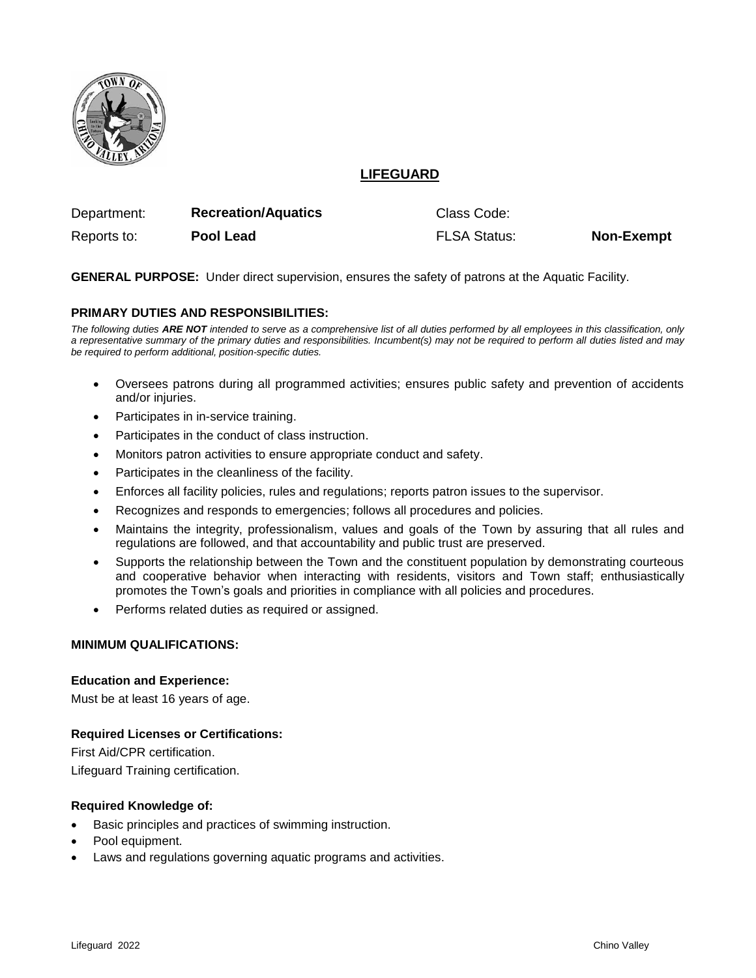

# **LIFEGUARD**

| Department: | <b>Recreation/Aquatics</b> | Class Code:         |                   |
|-------------|----------------------------|---------------------|-------------------|
| Reports to: | Pool Lead                  | <b>FLSA Status:</b> | <b>Non-Exempt</b> |

**GENERAL PURPOSE:** Under direct supervision, ensures the safety of patrons at the Aquatic Facility.

## **PRIMARY DUTIES AND RESPONSIBILITIES:**

*The following duties ARE NOT intended to serve as a comprehensive list of all duties performed by all employees in this classification, only a representative summary of the primary duties and responsibilities. Incumbent(s) may not be required to perform all duties listed and may be required to perform additional, position-specific duties.*

- Oversees patrons during all programmed activities; ensures public safety and prevention of accidents and/or injuries.
- Participates in in-service training.
- Participates in the conduct of class instruction.
- Monitors patron activities to ensure appropriate conduct and safety.
- Participates in the cleanliness of the facility.
- Enforces all facility policies, rules and regulations; reports patron issues to the supervisor.
- Recognizes and responds to emergencies; follows all procedures and policies.
- Maintains the integrity, professionalism, values and goals of the Town by assuring that all rules and regulations are followed, and that accountability and public trust are preserved.
- Supports the relationship between the Town and the constituent population by demonstrating courteous and cooperative behavior when interacting with residents, visitors and Town staff; enthusiastically promotes the Town's goals and priorities in compliance with all policies and procedures.
- Performs related duties as required or assigned.

# **MINIMUM QUALIFICATIONS:**

#### **Education and Experience:**

Must be at least 16 years of age.

#### **Required Licenses or Certifications:**

First Aid/CPR certification. Lifeguard Training certification.

#### **Required Knowledge of:**

- Basic principles and practices of swimming instruction.
- Pool equipment.
- Laws and regulations governing aquatic programs and activities.